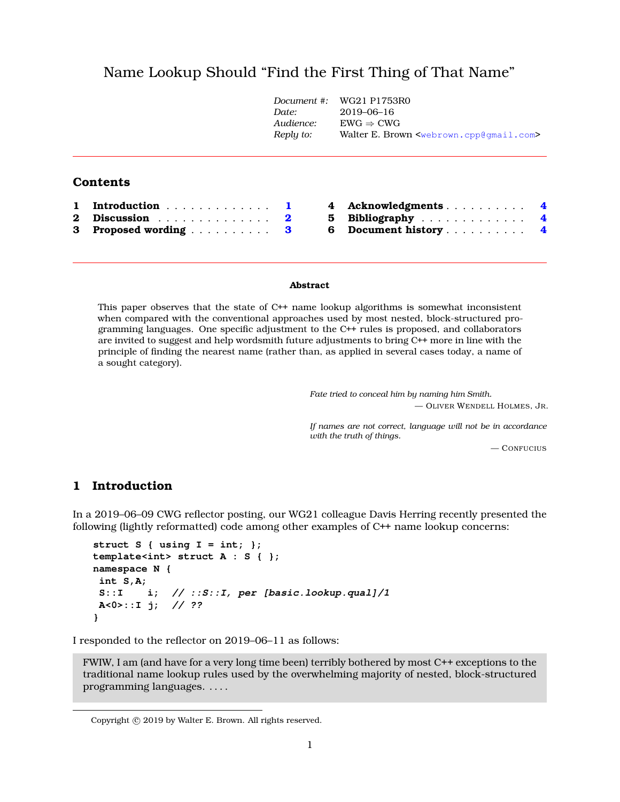# Name Lookup Should "Find the First Thing of That Name["](#page-0-0)

|          |                                           | Document $\#$ :<br>Date:<br>Audience:<br>Reply to: | WG21 P1753R0<br>2019-06-16<br>$EWG \Rightarrow CWG$<br>Walter E. Brown <webrown.cpp@qmail.com></webrown.cpp@qmail.com> |  |
|----------|-------------------------------------------|----------------------------------------------------|------------------------------------------------------------------------------------------------------------------------|--|
|          | <b>Contents</b>                           |                                                    |                                                                                                                        |  |
| 1.       | Introduction                              | 4                                                  | Acknowledgments                                                                                                        |  |
| $\bf{2}$ | Discussion $\ldots$ , $\ldots$ , $\ldots$ | $\overline{\mathbf{2}}$                            | 5<br>Bibliography<br>$\overline{4}$                                                                                    |  |
| 3        | Proposed wording                          | 6<br>3                                             | Document history                                                                                                       |  |

#### **Abstract**

This paper observes that the state of C++ name lookup algorithms is somewhat inconsistent when compared with the conventional approaches used by most nested, block-structured programming languages. One specific adjustment to the C++ rules is proposed, and collaborators are invited to suggest and help wordsmith future adjustments to bring C++ more in line with the principle of finding the nearest name (rather than, as applied in several cases today, a name of a sought category).

> *Fate tried to conceal him by naming him Smith.* — OLIVER WENDELL HOLMES, JR.

> *If names are not correct, language will not be in accordance with the truth of things.*

> > — CONFUCIUS

### <span id="page-0-1"></span>**1 Introduction**

In a 2019–06–09 CWG reflector posting, our WG21 colleague Davis Herring recently presented the following (lightly reformatted) code among other examples of C++ name lookup concerns:

```
struct S { using I = int; };
template<int> struct A : S { };
namespace N {
int S,A;
S::I i; // ::S::I, per [basic.lookup.qual]/1
A<0>::I j; // ??
}
```
I responded to the reflector on 2019–06–11 as follows:

FWIW, I am (and have for a very long time been) terribly bothered by most C++ exceptions to the traditional name lookup rules used by the overwhelming majority of nested, block-structured programming languages. . . . .

<span id="page-0-0"></span>Copyright © 2019 by Walter E. Brown. All rights reserved.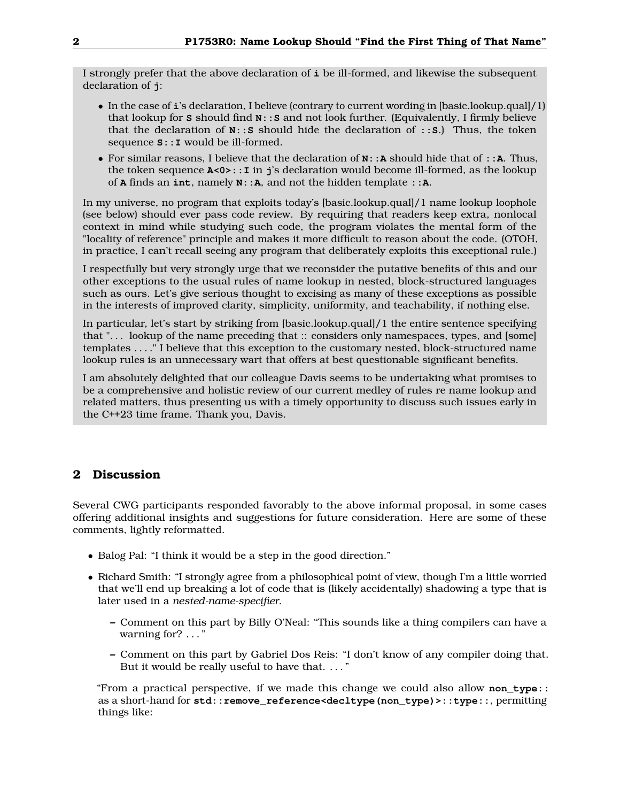I strongly prefer that the above declaration of **i** be ill-formed, and likewise the subsequent declaration of **j**:

- In the case of **i**'s declaration, I believe (contrary to current wording in [basic.lookup.qual]/1) that lookup for **S** should find **N::S** and not look further. (Equivalently, I firmly believe that the declaration of **N::S** should hide the declaration of **::S**.) Thus, the token sequence **S::I** would be ill-formed.
- For similar reasons, I believe that the declaration of **N::A** should hide that of **::A**. Thus, the token sequence **A<0>::I** in **j**'s declaration would become ill-formed, as the lookup of **A** finds an **int**, namely **N::A**, and not the hidden template **::A**.

In my universe, no program that exploits today's [basic.lookup.qual]/1 name lookup loophole (see below) should ever pass code review. By requiring that readers keep extra, nonlocal context in mind while studying such code, the program violates the mental form of the "locality of reference" principle and makes it more difficult to reason about the code. (OTOH, in practice, I can't recall seeing any program that deliberately exploits this exceptional rule.)

I respectfully but very strongly urge that we reconsider the putative benefits of this and our other exceptions to the usual rules of name lookup in nested, block-structured languages such as ours. Let's give serious thought to excising as many of these exceptions as possible in the interests of improved clarity, simplicity, uniformity, and teachability, if nothing else.

In particular, let's start by striking from [basic.lookup.qual]/1 the entire sentence specifying that ". . . lookup of the name preceding that :: considers only namespaces, types, and [some] templates . . . ." I believe that this exception to the customary nested, block-structured name lookup rules is an unnecessary wart that offers at best questionable significant benefits.

I am absolutely delighted that our colleague Davis seems to be undertaking what promises to be a comprehensive and holistic review of our current medley of rules re name lookup and related matters, thus presenting us with a timely opportunity to discuss such issues early in the C++23 time frame. Thank you, Davis.

## <span id="page-1-0"></span>**2 Discussion**

Several CWG participants responded favorably to the above informal proposal, in some cases offering additional insights and suggestions for future consideration. Here are some of these comments, lightly reformatted.

- Balog Pal: "I think it would be a step in the good direction."
- Richard Smith: "I strongly agree from a philosophical point of view, though I'm a little worried that we'll end up breaking a lot of code that is (likely accidentally) shadowing a type that is later used in a *nested-name-specifier*.
	- **–** Comment on this part by Billy O'Neal: "This sounds like a thing compilers can have a warning for? . . . "
	- **–** Comment on this part by Gabriel Dos Reis: "I don't know of any compiler doing that. But it would be really useful to have that. . . . "

"From a practical perspective, if we made this change we could also allow **non\_type::** as a short-hand for **std::remove\_reference<decltype(non\_type)>::type::**, permitting things like: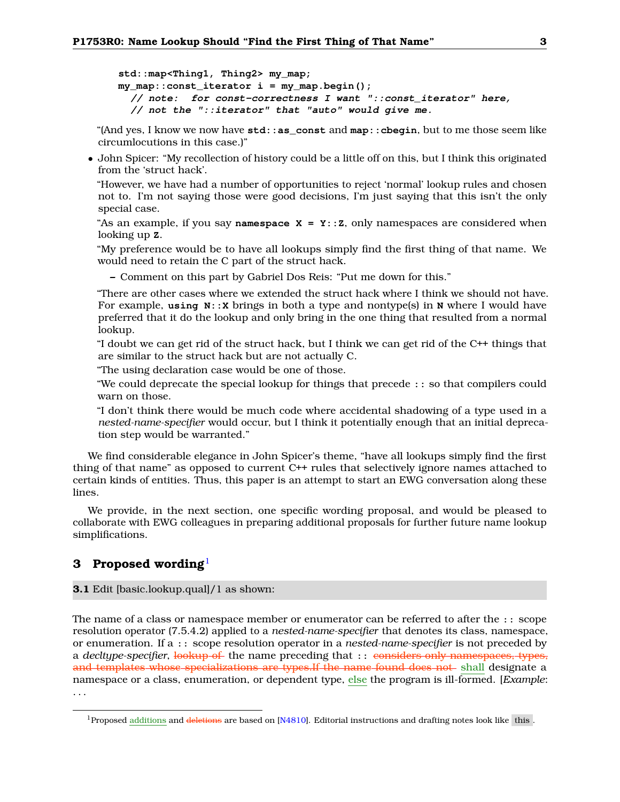**std::map<Thing1, Thing2> my\_map; my\_map::const\_iterator i = my\_map.begin(); // note: for const-correctness I want "::const\_iterator" here, // not the "::iterator" that "auto" would give me.**

"(And yes, I know we now have **std::as\_const** and **map::cbegin**, but to me those seem like circumlocutions in this case.)"

• John Spicer: "My recollection of history could be a little off on this, but I think this originated from the 'struct hack'.

"However, we have had a number of opportunities to reject 'normal' lookup rules and chosen not to. I'm not saying those were good decisions, I'm just saying that this isn't the only special case.

"As an example, if you say **namespace**  $X = Y$ **:**  $:Z$ , only namespaces are considered when looking up **Z**.

"My preference would be to have all lookups simply find the first thing of that name. We would need to retain the C part of the struct hack.

**–** Comment on this part by Gabriel Dos Reis: "Put me down for this."

"There are other cases where we extended the struct hack where I think we should not have. For example, **using N::X** brings in both a type and nontype(s) in **N** where I would have preferred that it do the lookup and only bring in the one thing that resulted from a normal lookup.

"I doubt we can get rid of the struct hack, but I think we can get rid of the C++ things that are similar to the struct hack but are not actually C.

"The using declaration case would be one of those.

"We could deprecate the special lookup for things that precede **::** so that compilers could warn on those.

"I don't think there would be much code where accidental shadowing of a type used in a *nested-name-specifier* would occur, but I think it potentially enough that an initial deprecation step would be warranted."

We find considerable elegance in John Spicer's theme, "have all lookups simply find the first thing of that name" as opposed to current C++ rules that selectively ignore names attached to certain kinds of entities. Thus, this paper is an attempt to start an EWG conversation along these lines.

We provide, in the next section, one specific wording proposal, and would be pleased to collaborate with EWG colleagues in preparing additional proposals for further future name lookup simplifications.

### <span id="page-2-0"></span>**3 Proposed wording**[1](#page-2-1)

#### **3.1** Edit [basic.lookup.qual]/1 as shown:

The name of a class or namespace member or enumerator can be referred to after the :: scope resolution operator (7.5.4.2) applied to a *nested-name-specifier* that denotes its class, namespace, or enumeration. If a :: scope resolution operator in a *nested-name-specifier* is not preceded by a *decltype-specifier*, lookup of the name preceding that :: considers only namespaces, types, and templates whose specializations are types. If the name found does not shall designate a namespace or a class, enumeration, or dependent type, else the program is ill-formed. [*Example*: . . .

<span id="page-2-1"></span><sup>&</sup>lt;sup>1</sup>Proposed additions and deletions are based on [\[N4810\]](#page-3-3). Editorial instructions and drafting notes look like this.